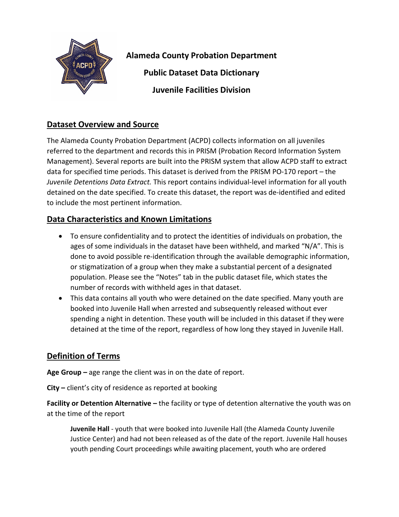

**Alameda County Probation Department** 

**Public Dataset Data Dictionary**

**Juvenile Facilities Division**

## **Dataset Overview and Source**

The Alameda County Probation Department (ACPD) collects information on all juveniles referred to the department and records this in PRISM (Probation Record Information System Management). Several reports are built into the PRISM system that allow ACPD staff to extract data for specified time periods. This dataset is derived from the PRISM PO-170 report – the *Juvenile Detentions Data Extract.* This report contains individual-level information for all youth detained on the date specified. To create this dataset, the report was de-identified and edited to include the most pertinent information.

## **Data Characteristics and Known Limitations**

- To ensure confidentiality and to protect the identities of individuals on probation, the ages of some individuals in the dataset have been withheld, and marked "N/A". This is done to avoid possible re-identification through the available demographic information, or stigmatization of a group when they make a substantial percent of a designated population. Please see the "Notes" tab in the public dataset file, which states the number of records with withheld ages in that dataset.
- This data contains all youth who were detained on the date specified. Many youth are booked into Juvenile Hall when arrested and subsequently released without ever spending a night in detention. These youth will be included in this dataset if they were detained at the time of the report, regardless of how long they stayed in Juvenile Hall.

## **Definition of Terms**

**Age Group –** age range the client was in on the date of report.

**City –** client's city of residence as reported at booking

**Facility or Detention Alternative –** the facility or type of detention alternative the youth was on at the time of the report

**Juvenile Hall** - youth that were booked into Juvenile Hall (the Alameda County Juvenile Justice Center) and had not been released as of the date of the report. Juvenile Hall houses youth pending Court proceedings while awaiting placement, youth who are ordered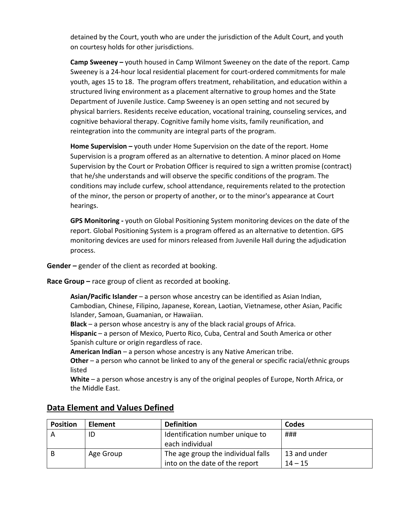detained by the Court, youth who are under the jurisdiction of the Adult Court, and youth on courtesy holds for other jurisdictions.

**Camp Sweeney –** youth housed in Camp Wilmont Sweeney on the date of the report. Camp Sweeney is a 24-hour local residential placement for court-ordered commitments for male youth, ages 15 to 18. The program offers treatment, rehabilitation, and education within a structured living environment as a placement alternative to group homes and the State Department of Juvenile Justice. Camp Sweeney is an open setting and not secured by physical barriers. Residents receive education, vocational training, counseling services, and cognitive behavioral therapy. Cognitive family home visits, family reunification, and reintegration into the community are integral parts of the program.

**Home Supervision –** youth under Home Supervision on the date of the report. Home Supervision is a program offered as an alternative to detention. A minor placed on Home Supervision by the Court or Probation Officer is required to sign a written promise (contract) that he/she understands and will observe the specific conditions of the program. The conditions may include curfew, school attendance, requirements related to the protection of the minor, the person or property of another, or to the minor's appearance at Court hearings.

**GPS Monitoring -** youth on Global Positioning System monitoring devices on the date of the report. Global Positioning System is a program offered as an alternative to detention. GPS monitoring devices are used for minors released from Juvenile Hall during the adjudication process.

**Gender –** gender of the client as recorded at booking.

**Race Group –** race group of client as recorded at booking.

**Asian/Pacific Islander** – a person whose ancestry can be identified as Asian Indian, Cambodian, Chinese, Filipino, Japanese, Korean, Laotian, Vietnamese, other Asian, Pacific Islander, Samoan, Guamanian, or Hawaiian.

**Black** – a person whose ancestry is any of the black racial groups of Africa.

**Hispanic** – a person of Mexico, Puerto Rico, Cuba, Central and South America or other Spanish culture or origin regardless of race.

**American Indian** – a person whose ancestry is any Native American tribe.

**Other** – a person who cannot be linked to any of the general or specific racial/ethnic groups listed

**White** – a person whose ancestry is any of the original peoples of Europe, North Africa, or the Middle East.

| <b>Position</b> | <b>Element</b> | <b>Definition</b>                  | Codes        |
|-----------------|----------------|------------------------------------|--------------|
|                 | ID             | Identification number unique to    | ###          |
|                 |                | each individual                    |              |
|                 | Age Group      | The age group the individual falls | 13 and under |
|                 |                | into on the date of the report     | $14 - 15$    |

## **Data Element and Values Defined**